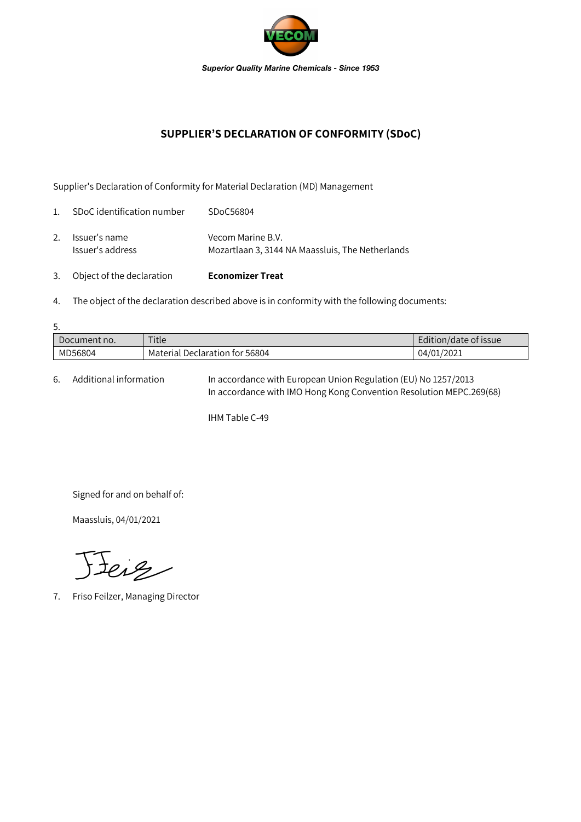

## **SUPPLIER'S DECLARATION OF CONFORMITY (SDoC)**

Supplier's Declaration of Conformity for Material Declaration (MD) Management

| 3.             | Object of the declaration         | <b>Economizer Treat</b>                                               |
|----------------|-----------------------------------|-----------------------------------------------------------------------|
| 2.             | Issuer's name<br>Issuer's address | Vecom Marine B.V.<br>Mozartlaan 3, 3144 NA Maassluis, The Netherlands |
| $\mathbf{1}$ . | SDoC identification number        | SDoC56804                                                             |

4. The object of the declaration described above is in conformity with the following documents:

| 5.           |                                |                       |  |  |  |  |
|--------------|--------------------------------|-----------------------|--|--|--|--|
| Document no. | Title                          | Edition/date of issue |  |  |  |  |
| MD56804      | Material Declaration for 56804 | 04/01/2021            |  |  |  |  |

6. Additional information In accordance with European Union Regulation (EU) No 1257/2013 In accordance with IMO Hong Kong Convention Resolution MEPC.269(68)

IHM Table C-49

Signed for and on behalf of:

Maassluis, 04/01/2021

Jeig

7. Friso Feilzer, Managing Director